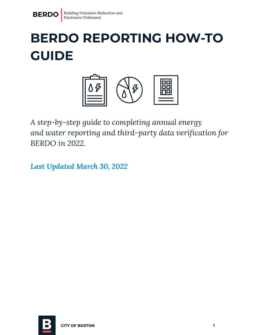

# **BERDO REPORTING HOW-TO GUIDE**



*A step-by-step guide to completing annual energy and water reporting and third-party data verification for BERDO in 2022.*

*Last Updated March 30, 2022*

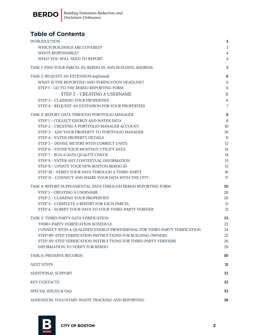

### **Table of Contents**

| <b>INTRODUCTION</b>                                                            | 3               |
|--------------------------------------------------------------------------------|-----------------|
| WHICH BUILDINGS ARE COVERED?                                                   | 3               |
| <b>WHO'S RESPONSIBLE?</b>                                                      | $\overline{4}$  |
| WHAT YOU WILL NEED TO REPORT                                                   | 4               |
| TASK 1: FIND YOUR PARCEL ID, BERDO ID, AND BUILDING ADDRESS                    | 5               |
| TASK 2: REQUEST AN EXTENSION (optional)                                        | $6\phantom{1}6$ |
| WHAT IS THE REPORTING AND VERIFICATION DEADLINE?                               | $6\phantom{1}6$ |
| STEP 1 - GO TO THE BERDO REPORTING FORM                                        | 6               |
| STEP 2 - CREATING A USERNAME                                                   | $\,6\,$         |
| STEP 3 - CLAIMING YOUR PROPERTIES                                              | $\,6\,$         |
| STEP 4 - REQUEST AN EXTENSION FOR YOUR PROPERTIES                              | $\overline{7}$  |
| TASK 3: REPORT DATA THROUGH PORTFOLIO MANAGER                                  | 8               |
| STEP 1 - COLLECT ENERGY AND WATER DATA                                         | 8               |
| STEP 2 - CREATING A PORTFOLIO MANAGER ACCOUNT                                  | 10              |
| STEP 3 - ADD YOUR PROPERTY TO PORTFOLIO MANAGER                                | 10              |
| STEP 4 - ENTER PROPERTY DETAILS                                                | 11              |
| STEP 5 - DEFINE METERS WITH CORRECT UNITS                                      | 12              |
| STEP 6 - ENTER YOUR MONTHLY UTILITY DATA                                       | 14              |
| STEP 7 - RUN A DATA QUALITY CHECK<br>STEP 8 - ENTER ANY CONTEXTUAL INFORMATION | 14<br>15        |
| STEP 9 - UPDATE YOUR NEW BOSTON BERDO ID                                       | 15              |
| STEP 10 - VERIFY YOUR DATA THROUGH A THIRD-PARTY                               | 16              |
| STEP 11 - CONNECT AND SHARE YOUR DATA WITH THE CITY                            | 17              |
| TASK 4: REPORT SUPPLEMENTAL DATA THROUGH BERDO REPORTING FORM                  | 20              |
| <b>STEP 1 - CREATING A USERNAME</b>                                            | 20              |
| STEP 2 - CLAIMING YOUR PROPERTIES                                              | 20              |
| STEP 3 - COMPLETE A REPORT FOR EACH PARCEL                                     | 21              |
| STEP 4 - SUBMIT YOUR DATA TO YOUR THIRD-PARTY VERIFIER                         | 21              |
| TASK 5: THIRD-PARTY DATA VERIFICATION                                          | 23              |
| THIRD-PARTY VERIFICATION SCHEDULE                                              | 23              |
| CONNECT WITH A QUALIFIED ENERGY PROFESSIONAL FOR THIRD-PARTY VERIFICATION      | 24              |
| STEP-BY-STEP VERIFICATION INSTRUCTIONS FOR BUILDING OWNERS                     | 25              |
| STEP-BY-STEP VERIFICATION INSTRUCTIONS FOR THIRD-PARTY VERIFIERS               | 26              |
| INFORMATION TO VERIFY FOR BERDO                                                | 29              |
| TASK 6: PRESERVE RECORDS                                                       | 30              |
| <b>NEXT STEPS</b>                                                              | 31              |
| ADDITIONAL SUPPORT                                                             | 32              |
| <b>KEY CONTACTS</b>                                                            | 32              |
| SPECIAL ISSUES & FAQ                                                           | 33              |
| ADDENDUM: VOLUNTARY WASTE TRACKING AND REPORTING                               | 36              |

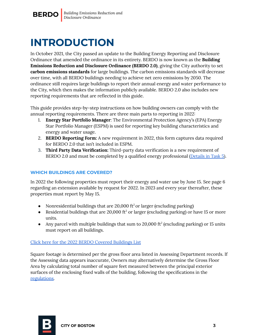

## <span id="page-2-0"></span>**INTRODUCTION**

In October 2021, the City passed an update to the Building Energy Reporting and Disclosure Ordinance that amended the ordinance in its entirety. BERDO is now known as the **Building Emissions Reduction and Disclosure Ordinance (BERDO 2.0)**, giving the City authority to set **carbon emissions standards** for large buildings. The carbon emissions standards will decrease over time, with all BERDO buildings needing to achieve net zero emissions by 2050. The ordinance still requires large buildings to report their annual energy and water performance to the City, which then makes the information publicly available. BERDO 2.0 also includes new reporting requirements that are reflected in this guide.

This guide provides step-by-step instructions on how building owners can comply with the annual reporting requirements. There are three main parts to reporting in 2022:

- 1. **Energy Star Portfolio Manager**: The Environmental Protection Agency's (EPA) Energy Star Portfolio Manager (ESPM) is used for reporting key building characteristics and energy and water usage.
- 2. **BERDO Reporting Form:** A new requirement in 2022, this form captures data required for BERDO 2.0 that isn't included in ESPM.
- 3. **Third Party Data Verification:** Third-party data verification is a new requirement of BERDO 2.0 and must be completed by a qualified energy professional [\(Details](#page-21-0) in Task 5).

#### <span id="page-2-1"></span>**WHICH BUILDINGS ARE COVERED?**

In 2022 the following properties must report their energy and water use by June 15. See page 6 regarding an extension available by request for 2022. In 2023 and every year thereafter, these properties must report by May 15.

- Nonresidential buildings that are 20,000 ft<sup>2</sup> or larger (excluding parking)
- Residential buildings that are 20,000 ft<sup>2</sup> or larger (excluding parking) or have 15 or more units.
- Any parcel with multiple buildings that sum to 20,000 ft<sup>2</sup> (excluding parking) or 15 units must report on all buildings.

#### Click here for the 2022 BERDO Covered [Buildings](https://docs.google.com/spreadsheets/d/1t-XKuedzvlOMf2d-vmL3ztrklDquXv-NdD1RkA-mxZI/edit?usp=sharing) List

Square footage is determined per the gross floor area listed in Assessing Department records. If the Assessing data appears inaccurate, Owners may alternatively determine the Gross Floor Area by calculating total number of square feet measured between the principal exterior surfaces of the enclosing fixed walls of the building, following the specifications in the [regulations.](https://boston.gov/sites/default/files/file/2022/03/APCC%20BERDO%20Regulations%203_16_22.pdf)

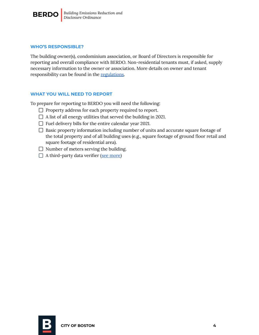

#### <span id="page-3-0"></span>**WHO'S RESPONSIBLE?**

The building owner(s), condominium association, or Board of Directors is responsible for reporting and overall compliance with BERDO. Non-residential tenants must, if asked, supply necessary information to the owner or association. More details on owner and tenant responsibility can be found in the [regulations.](https://boston.gov/sites/default/files/file/2022/03/APCC%20BERDO%20Regulations%203_16_22.pdf)

#### <span id="page-3-1"></span>**WHAT YOU WILL NEED TO REPORT**

To prepare for reporting to BERDO you will need the following:

- $\Box$  Property address for each property required to report.
- $\Box$  A list of all energy utilities that served the building in 2021.
- $\Box$  Fuel delivery bills for the entire calendar year 2021.
- $\Box$  Basic property information including number of units and accurate square footage of the total property and of all building uses (e.g., square footage of ground floor retail and square footage of residential area).
- $\Box$  Number of meters serving the building.
- $\Box$  A third-party data verifier (see [more\)](#page-21-0)

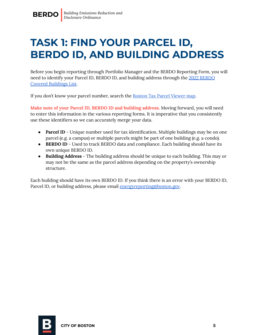### <span id="page-4-0"></span>**TASK 1: FIND YOUR PARCEL ID, BERDO ID, AND BUILDING ADDRESS**

Before you begin reporting through Portfolio Manager and the BERDO Reporting Form, you will need to identify your Parcel ID, BERDO ID, and building address through the 2022 [BERDO](https://docs.google.com/spreadsheets/d/1t-XKuedzvlOMf2d-vmL3ztrklDquXv-NdD1RkA-mxZI/edit?usp=sharing) Covered [Buildings](https://docs.google.com/spreadsheets/d/1t-XKuedzvlOMf2d-vmL3ztrklDquXv-NdD1RkA-mxZI/edit?usp=sharing) List.

If you don't know your parcel number, search the [Boston](https://app01.cityofboston.gov/AssessingMap/) Tax Parcel Viewer map.

**Make note of your Parcel ID, BERDO ID and building address.** Moving forward, you will need to enter this information in the various reporting forms. It is imperative that you consistently use these identifiers so we can accurately merge your data.

- **Parcel ID** Unique number used for tax identification. Multiple buildings may be on one parcel (e.g. a campus) or multiple parcels might be part of one building (e.g. a condo).
- **BERDO ID** Used to track BERDO data and compliance. Each building should have its own unique BERDO ID.
- **Building Address** The building address should be unique to each building. This may or may not be the same as the parcel address depending on the property's ownership structure.

Each building should have its own BERDO ID. If you think there is an error with your BERDO ID, Parcel ID, or building address, please email [energyreporting@boston.gov](mailto:energyreporting@boston.gov).

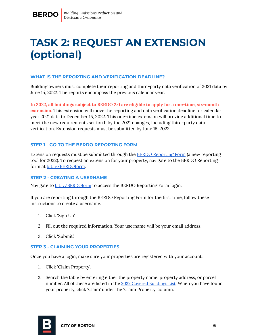## <span id="page-5-0"></span>**TASK 2: REQUEST AN EXTENSION (optional)**

#### <span id="page-5-1"></span>**WHAT IS THE REPORTING AND VERIFICATION DEADLINE?**

Building owners must complete their reporting and third-party data verification of 2021 data by June 15, 2022. The reports encompass the previous calendar year.

**In 2022, all buildings subject to BERDO 2.0 are eligible to apply for a one-time, six-month extension.** This extension will move the reporting and data verification deadline for calendar year 2021 data to December 15, 2022. This one-time extension will provide additional time to meet the new requirements set forth by the 2021 changes, including third-party data verification. Extension requests must be submitted by June 15, 2022.

#### <span id="page-5-2"></span>**STEP 1 - GO TO THE BERDO REPORTING FORM**

Extension requests must be submitted through the BERDO [Reporting](https://bostonopendata.knack.com/berdo-reporting#berdo-reporting-2022/) Form (a new reporting tool for 2022). To request an extension for your property, navigate to the BERDO Reporting form at [bit.ly/BERDOform.](https://bostonopendata.knack.com/berdo-reporting#berdo-reporting-2022/)

#### <span id="page-5-3"></span>**STEP 2 - CREATING A USERNAME**

Navigate to [bit.ly/BERDOform](https://bostonopendata.knack.com/berdo-reporting#berdo-reporting-2022/) to access the BERDO Reporting Form login.

If you are reporting through the BERDO Reporting Form for the first time, follow these instructions to create a username.

- 1. Click 'Sign Up'.
- 2. Fill out the required information. Your username will be your email address.
- 3. Click 'Submit'.

#### <span id="page-5-4"></span>**STEP 3 - CLAIMING YOUR PROPERTIES**

Once you have a login, make sure your properties are registered with your account.

- 1. Click 'Claim Property'.
- 2. Search the table by entering either the property name, property address, or parcel number. All of these are listed in the 2022 Covered [Buildings](https://docs.google.com/spreadsheets/d/1t-XKuedzvlOMf2d-vmL3ztrklDquXv-NdD1RkA-mxZI/edit#gid=913546150) List. When you have found your property, click 'Claim' under the 'Claim Property' column.

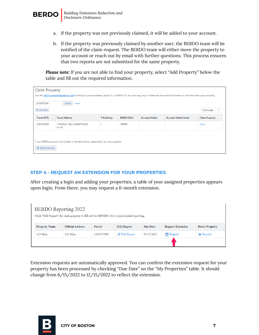

- a. If the property was not previously claimed, it will be added to your account.
- b. If the property was previously claimed by another user, the BERDO team will be notified of the claim request. The BERDO team will either move the property to your account or reach out by email with further questions. This process ensures that two reports are not submitted for the same property.

*Please note:* If you are not able to find your property, select "Add Property" below the table and fill out the required information.

| <b>Claim Property</b><br>Use the 2022 Covered Buildings List to find your parcel address, parcel ID, or BERDO ID. You can copy any of these into the search bar below to find and claim your property.<br>0303675000<br>search reset |                                     |             |                    |                       |                             |                       |
|--------------------------------------------------------------------------------------------------------------------------------------------------------------------------------------------------------------------------------------|-------------------------------------|-------------|--------------------|-----------------------|-----------------------------|-----------------------|
| Add filters                                                                                                                                                                                                                          | 10 per page<br>$\checkmark$         |             |                    |                       |                             |                       |
| Parcel ID <sup>L</sup>                                                                                                                                                                                                               | <b>Parcel Address</b>               | # Buildings | <b>BERDO ID(s)</b> | <b>Account Holder</b> | <b>Account Holder Email</b> | <b>Claim Property</b> |
| 0303675000                                                                                                                                                                                                                           | 1 FANEUIL HALL MARKETPLACE<br>02109 |             | 104899             |                       |                             | Claim                 |
| If your BERDO property not included in the table above, please add it as a new property.<br>+ Add Property                                                                                                                           |                                     |             |                    |                       |                             |                       |

#### <span id="page-6-0"></span>**STEP 4 - REQUEST AN EXTENSION FOR YOUR PROPERTIES**

After creating a login and adding your properties, a table of your assigned properties appears upon login. From there, you may request a 6-month extension.

| <b>BERDO</b> Reporting 2022<br>Click "Edit Report" for each property to fill out the BERDO 2022 supplemental reporting. |                         |            |             |                 |                          |                        |
|-------------------------------------------------------------------------------------------------------------------------|-------------------------|------------|-------------|-----------------|--------------------------|------------------------|
| <b>Property Name</b>                                                                                                    | <b>Official Address</b> | Parcel     | 2022 Report | <b>Due Date</b> | <b>Request Extension</b> | <b>Delete Property</b> |
| 123 Main                                                                                                                | 123 Main                | 1234567890 | Bdit Report | 05/15/2022      | <b>Request</b>           | <b>X</b> Request       |
|                                                                                                                         |                         |            |             |                 |                          |                        |

Extension requests are automatically approved. You can confirm the extension request for your property has been processed by checking "Due Date" on the "My Properties" table. It should change from 6/15/2022 to 12/15/2022 to reflect the extension.

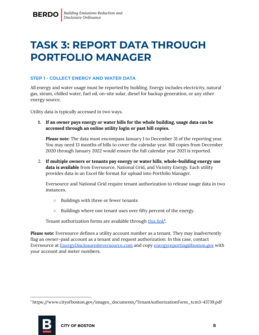### <span id="page-7-0"></span>**TASK 3: REPORT DATA THROUGH PORTFOLIO MANAGER**

#### <span id="page-7-1"></span>**STEP 1 - COLLECT ENERGY AND WATER DATA**

All energy and water usage must be reported by building. Energy includes electricity, natural gas, steam, chilled water, fuel oil, on-site solar, diesel for backup generation, or any other energy source.

Utility data is typically accessed in two ways.

**1. If an owner pays energy or water bills for the whole building, usage data can be accessed through an online utility login or past bill copies.**

*Please note:* The data must encompass January 1 to December 31 of the reporting year. You may need 13 months of bills to cover the calendar year. Bill copies from December 2020 through January 2022 would ensure the full calendar year 2021 is reported.

2. **If multiple owners or tenants pay energy or water bills**, **whole-building energy use data is available** from Eversource, National Grid, and Vicinity Energy. Each utility provides data in an Excel file format for upload into Portfolio Manager.

Eversource and National Grid require tenant authorization to release usage data in two instances.

- Buildings with three or fewer tenants
- Buildings where one tenant uses over fifty percent of the energy.

Tenant authorization forms are available through [this](https://www.cityofboston.gov/images_documents/TenantAuthorizationForm_tcm3-43739.pdf) link<sup>1</sup>.

*Please note:* Eversource defines a utility account number as a tenant. They may inadvertently flag an owner-paid account as a tenant and request authorization. In this case, contact Eversource at [EnergyDisclosure@eversource.com](mailto:EnergyDisclosure@eversource.com) and copy [energyreporting@boston.gov](mailto:energyreporting@boston.gov) with your account and meter numbers.

<sup>1</sup> https://www.cityofboston.gov/images\_documents/TenantAuthorizationForm\_tcm3-43739.pdf

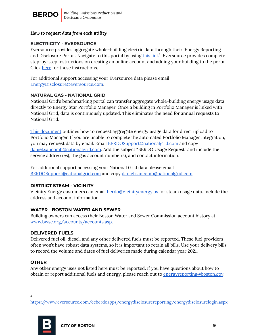

#### *How to request data from each utility*

#### **ELECTRICITY - EVERSOURCE**

Eversource provides aggregate whole-building electric data through their 'Energy Reporting and Disclosure Portal'. Navigate to [this](https://www.eversource.com/ccberdoapps/energydisclosurereporting/energydisclosurelogin.aspx) portal by using this link<sup>2</sup>. Eversource provides complete step-by-step instructions on creating an online account and adding your building to the portal. Click [here](https://boston.gov/sites/default/files/file/2022/03/Eversource%20-%20Energy%20Reporting%20and%20Disclosure%20Portal%20Walkthrough.pdf) for these instructions.

For additional support accessing your Eversource data please email [EnergyDisclosure@eversource.com](mailto:EnergyDisclosure@eversource.com).

#### **NATURAL GAS - NATIONAL GRID**

National Grid's benchmarking portal can transfer aggregate whole-building energy usage data directly to Energy Star Portfolio Manager. Once a building in Portfolio Manager is linked with National Grid, data is continuously updated. This eliminates the need for annual requests to National Grid.

This [document](https://www.nationalgridus.com/media/pdfs/landlords-property-managers/national-grid-users-guide-to-uploading-aggregate-data.pdf) outlines how to request aggregate energy usage data for direct upload to Portfolio Manager. If you are unable to complete the automated Portfolio Manager integration, you may request data by email. Email [BERDOSupport@nationalgrid.com](mailto:BERDOSupport@nationalgrid.com) and copy [daniel.sancomb@nationalgrid.com](mailto:daniel.sancomb@nationalgrid.com). Add the subject "BERDO Usage Request" and include the service address(es), the gas account number(s), and contact information.

For additional support accessing your National Grid data please email [BERDOSupport@nationalgrid.com](mailto:BERDOSupport@nationalgrid.com) and copy [daniel.sancomb@nationalgrid.com](mailto:daniel.sancomb@nationalgrid.com).

#### **DISTRICT STEAM - VICINITY**

Vicinity Energy customers can email [berdo@Vicinityenergy.us](mailto:berdo@Vicinityenergy.us) for steam usage data. Include the address and account information.

#### **WATER - BOSTON WATER AND SEWER**

Building owners can access their Boston Water and Sewer Commission account history at [www.bwsc.org/accounts/accounts.asp](http://www.bwsc.org/accounts/accounts.asp).

#### **DELIVERED FUELS**

Delivered fuel oil, diesel, and any other delivered fuels must be reported. These fuel providers often won't have robust data systems, so it is important to retain all bills. Use your delivery bills to record the volume and dates of fuel deliveries made during calendar year 2021.

#### **OTHER**

Any other energy uses not listed here must be reported. If you have questions about how to obtain or report additional fuels and energy, please reach out to [energyreporting@boston.gov](mailto:energyreporting@boston.gov).

2

<https://www.eversource.com/ccberdoapps/energydisclosurereporting/energydisclosurelogin.aspx>

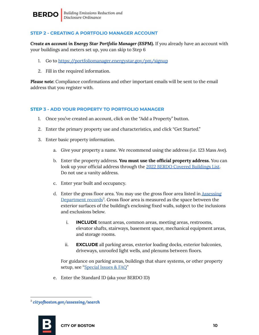

#### <span id="page-9-0"></span>**STEP 2 - CREATING A PORTFOLIO MANAGER ACCOUNT**

*Create an account in Energy Star Portfolio Manager (ESPM).* If you already have an account with your buildings and meters set up, you can skip to Step 6

- 1. Go to <https://portfoliomanager.energystar.gov/pm/signup>
- 2. Fill in the required information.

*Please note:* Compliance confirmations and other important emails will be sent to the email address that you register with.

#### <span id="page-9-1"></span>**STEP 3 - ADD YOUR PROPERTY TO PORTFOLIO MANAGER**

- 1. Once you've created an account, click on the "Add a Property" button.
- 2. Enter the primary property use and characteristics, and click "Get Started."
- 3. Enter basic property information.
	- a. Give your property a name. We recommend using the address (i.e. 123 Mass Ave).
	- b. Enter the property address. **You must use the official property address.** You can look up your official address through the 2022 BERDO Covered [Buildings](https://docs.google.com/spreadsheets/d/1t-XKuedzvlOMf2d-vmL3ztrklDquXv-NdD1RkA-mxZI/edit?usp=sharing) List. Do not use a vanity address.
	- c. Enter year built and occupancy.
	- d. Enter the gross floor area. You may use the gross floor area listed in [Assessing](http://cityofboston.gov/assessing/search) [Department](http://cityofboston.gov/assessing/search) records<sup>3</sup>. Gross floor area is measured as the space between the exterior surfaces of the building's enclosing fixed walls, subject to the inclusions and exclusions below.
		- i. **INCLUDE** tenant areas, common areas, meeting areas, restrooms, elevator shafts, stairways, basement space, mechanical equipment areas, and storage rooms.
		- ii. **EXCLUDE** all parking areas, exterior loading docks, exterior balconies, driveways, unroofed light wells, and plenums between floors.

For guidance on parking areas, buildings that share systems, or other property setup, see "[Special](#page-32-0) Issues & FAQ"

e. Enter the Standard ID (aka your BERDO ID)

<sup>3</sup> *[cityofboston.gov/assessing/search](http://www.cityofboston.gov/assessing/search/)*

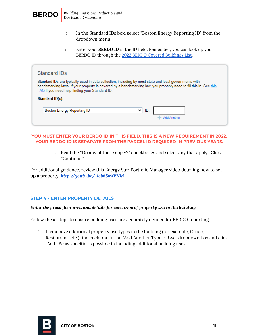

- i. In the Standard IDs box, select "Boston Energy Reporting ID" from the dropdown menu.
- ii. Enter your **BERDO ID** in the ID field. Remember, you can look up your BERDO ID through the 2022 BERDO Covered [Buildings](https://docs.google.com/spreadsheets/d/1t-XKuedzvlOMf2d-vmL3ztrklDquXv-NdD1RkA-mxZI/edit?usp=sharing) List.

| Standard IDs                                                                                                                                                                                                                                                                         |
|--------------------------------------------------------------------------------------------------------------------------------------------------------------------------------------------------------------------------------------------------------------------------------------|
| Standard IDs are typically used in data collection, including by most state and local governments with<br>benchmarking laws. If your property is covered by a benchmarking law, you probably need to fill this in. See this<br><b>FAQ</b> if you need help finding your Standard ID. |
| Standard ID(s):                                                                                                                                                                                                                                                                      |
| ID:<br>Boston Energy Reporting ID<br>◡                                                                                                                                                                                                                                               |

#### **YOU MUST ENTER YOUR BERDO ID IN THIS FIELD. THIS IS A NEW REQUIREMENT IN 2022. YOUR BERDO ID IS SEPARATE FROM THE PARCEL ID REQUIRED IN PREVIOUS YEARS.**

f. Read the "Do any of these apply?" checkboxes and select any that apply. Click "Continue."

For additional guidance, review this Energy Star Portfolio Manager video detailing how to set up a property: *http:/ [youtu.be/-lob65wkVNM](http://youtu.be/-lob65wkVNM)*

#### <span id="page-10-0"></span>**STEP 4 - ENTER PROPERTY DETAILS**

#### *Enter the gross floor area and details for each type of property use in the building.*

Follow these steps to ensure building uses are accurately defined for BERDO reporting.

1. If you have additional property use types in the building (for example, Office, Restaurant, etc.) find each one in the "Add Another Type of Use" dropdown box and click "Add." Be as specific as possible in including additional building uses.

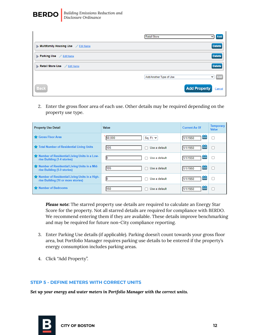

 $\mathbf{r}$ 

|                                     | Retail Store            | $\vee$ Add                    |
|-------------------------------------|-------------------------|-------------------------------|
| Multifamily Housing Use / Edit Name |                         | <b>Delete</b>                 |
| Parking Use Edit Name               |                         | <b>Delete</b>                 |
| Retail Store Use Edit Name          |                         | <b>Delete</b>                 |
|                                     | Add Another Type of Use | Add<br>$\checkmark$           |
| <b>Back</b>                         |                         | <b>Add Property</b><br>Cancel |

2. Enter the gross floor area of each use. Other details may be required depending on the property use type.

| <b>Property Use Detail</b>                                                          | Value                | <b>Current As Of</b> | <b>Temporary</b><br><b>Value</b> |
|-------------------------------------------------------------------------------------|----------------------|----------------------|----------------------------------|
| Gross Floor Area                                                                    | 50,000<br>Sq. Ft. Y  | 雦<br>1/1/1950        | U                                |
| Total Number of Residential Living Units                                            | 105<br>Use a default | 雦<br>1/1/1950        | п                                |
| Number of Residential Living Units in a Low-<br>rise Building (1-4 stories)         | Use a default        | 雦<br>1/1/1950        |                                  |
| Number of Residential Living Units in a Mid-<br>rise Building (5-9 stories)         | 105<br>Use a default | 雦<br>1/1/1950        |                                  |
| Number of Residential Living Units in a High-<br>rise Building (10 or more stories) | Use a default        | 齸<br>1/1/1950        |                                  |
| Number of Bedrooms                                                                  | 150<br>Use a default | 雦<br>1/1/1950        |                                  |

*Please note:* The starred property use details are required to calculate an Energy Star Score for the property. Not all starred details are required for compliance with BERDO. We recommend entering them if they are available. These details improve benchmarking and may be required for future non-City compliance reporting.

- 3. Enter Parking Use details (if applicable). Parking doesn't count towards your gross floor area, but Portfolio Manager requires parking use details to be entered if the property's energy consumption includes parking areas.
- 4. Click "Add Property".

#### <span id="page-11-0"></span>**STEP 5 - DEFINE METERS WITH CORRECT UNITS**

*Set up your energy and water meters in Portfolio Manager with the correct units.*

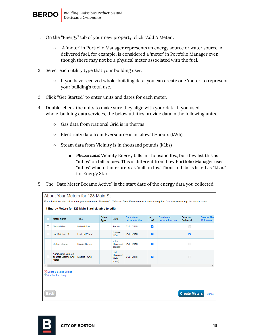

- 1. On the "Energy" tab of your new property, click "Add A Meter".
	- A 'meter' in Portfolio Manager represents an energy source or water source. A delivered fuel, for example, is considered a 'meter' in Portfolio Manager even though there may not be a physical meter associated with the fuel.
- 2. Select each utility type that your building uses.
	- If you have received whole-building data, you can create one 'meter' to represent your building's total use.
- 3. Click "Get Started" to enter units and dates for each meter.
- 4. Double-check the units to make sure they align with your data. If you used whole-building data services, the below utilities provide data in the following units.
	- Gas data from National Grid is in therms
	- Electricity data from Eversource is in kilowatt-hours (kWh)
	- Steam data from Vicinity is in thousand pounds (kLbs)
		- *Please note:* Vicinity Energy bills in 'thousand lbs.', but they list this as "mLbs" on bill copies. This is different from how Portfolio Manager uses "mLbs" which it interprets as 'million lbs.' Thousand lbs is listed as "kLbs" for Energy Star.
- 5. The "Date Meter Became Active" is the start date of the energy data you collected.

|                                                               | About Your Meters for 123 Main St                                                                                                                            |                       |                      |                                     |                                           |                         |                                      |                       |                                       |
|---------------------------------------------------------------|--------------------------------------------------------------------------------------------------------------------------------------------------------------|-----------------------|----------------------|-------------------------------------|-------------------------------------------|-------------------------|--------------------------------------|-----------------------|---------------------------------------|
|                                                               | Enter the information below about your new meters. The meter's <i>Units</i> and Date Meter became Active are required. You can also change the meter's name. |                       |                      |                                     |                                           |                         |                                      |                       |                                       |
|                                                               | 4 Energy Meters for 123 Main St (click table to edit)                                                                                                        |                       |                      |                                     |                                           |                         |                                      |                       |                                       |
| П                                                             | <b>Meter Name</b>                                                                                                                                            | <b>Type</b>           | Other<br><b>Type</b> | <b>Units</b>                        | <b>Date Meter</b><br><b>became Active</b> | In.<br>Use?             | <b>Date Meter</b><br>became Inactive | Enter as<br>Delivery? | <b>Custom Met</b><br><b>ID 1 Name</b> |
| П                                                             | <b>Natural Gas</b>                                                                                                                                           | <b>Natural Gas</b>    |                      | therms                              | 01/01/2018                                | $\blacktriangleright$   |                                      | $\Box$                |                                       |
| n                                                             | Fuel Oil (No. 2)                                                                                                                                             | Fuel Oil (No. 2)      |                      | Gallons<br>(US)                     | 01/01/2018                                | Ø                       |                                      | $\overline{a}$        |                                       |
| П                                                             | <b>District Steam</b>                                                                                                                                        | <b>District Steam</b> |                      | kLbs.<br>(thousand<br>pounds)       | 01/01/2018                                | $\overline{\mathsf{v}}$ |                                      | $\Box$                |                                       |
|                                                               | <b>Aggregate Eversour</b><br>ce Data Electric Grid<br><b>Meter</b>                                                                                           | Electric - Grid       |                      | kWh<br>(thousand<br>Watt-<br>hours) | 01/01/2018                                | ø                       |                                      | $\Box$                |                                       |
| Þ.<br><b>X</b> Delete Selected Entries<br>+ Add Another Entry |                                                                                                                                                              |                       |                      |                                     |                                           |                         |                                      |                       |                                       |
|                                                               | <b>Create Meters</b><br>Back<br>Cancel                                                                                                                       |                       |                      |                                     |                                           |                         |                                      |                       |                                       |

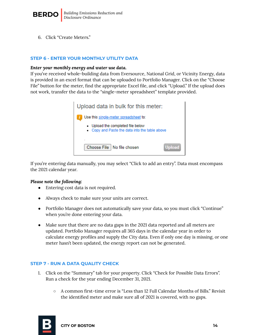

6. Click "Create Meters."

#### <span id="page-13-0"></span>**STEP 6 - ENTER YOUR MONTHLY UTILITY DATA**

#### *Enter your monthly energy and water use data.*

If you've received whole-building data from Eversource, National Grid, or Vicinity Energy, data is provided in an excel format that can be uploaded to Portfolio Manager. Click on the "Choose File" button for the meter, find the appropriate Excel file, and click "Upload." If the upload does not work, transfer the data to the "single-meter spreadsheet" template provided.



If you're entering data manually, you may select "Click to add an entry". Data must encompass the 2021 calendar year.

#### *Please note the following:*

- Entering cost data is not required.
- Always check to make sure your units are correct.
- Portfolio Manager does not automatically save your data, so you must click "Continue" when you're done entering your data.
- Make sure that there are no data gaps in the 2021 data reported and all meters are updated. Portfolio Manager requires all 365 days in the calendar year in order to calculate energy profiles and supply the City data. Even if only one day is missing, or one meter hasn't been updated, the energy report can not be generated.

#### <span id="page-13-1"></span>**STEP 7 - RUN A DATA QUALITY CHECK**

- 1. Click on the "Summary" tab for your property. Click "Check for Possible Data Errors". Run a check for the year ending December 31, 2021.
	- A common first-time error is "Less than 12 Full Calendar Months of Bills." Revisit the identified meter and make sure all of 2021 is covered, with no gaps.

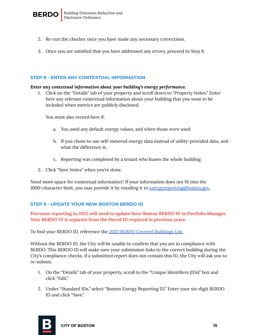

- 2. Re-run the checker once you have made any necessary corrections.
- 3. Once you are satisfied that you have addressed any errors, proceed to Step 8.

#### <span id="page-14-0"></span>**STEP 8 - ENTER ANY CONTEXTUAL INFORMATION**

#### *Enter any contextual information about your building's energy performance.*

1. Click on the "Details" tab of your property and scroll down to "Property Notes." Enter here any relevant contextual information about your building that you want to be included when metrics are publicly disclosed.

You must also record here if:

- a. You used any default energy values, and when those were used.
- b. If you chose to use self-metered energy data instead of utility-provided data, and what the difference is.
- c. Reporting was completed by a tenant who leases the whole building.
- 2. Click "Save Notes" when you're done.

Need more space for contextual information? If your information does not fit into the 1000-character limit, you may provide it by emailing it to [energyreporting@boston.gov](mailto:energyreporting@boston.gov)*.*

#### <span id="page-14-1"></span>**STEP 9 - UPDATE YOUR NEW BOSTON BERDO ID**

**Everyone reporting in 2022 will need to update their Boston BERDO ID in Portfolio Manager. Your BERDO ID is separate from the Parcel ID required in previous years.**

To find your BERDO ID, reference the 2022 BERDO Covered [Buildings](https://docs.google.com/spreadsheets/d/1t-XKuedzvlOMf2d-vmL3ztrklDquXv-NdD1RkA-mxZI/edit?usp=sharing) List.

Without the BERDO ID, the City will be unable to confirm that you are in compliance with BERDO. This BERDO ID will make sure your submission links to the correct building during the City's compliance checks. If a submitted report does not contain this ID, the City will ask you to re-submit.

- 1. On the "Details" tab of your property, scroll to the "Unique Identifiers (IDs)" box and click "Edit."
- 2. Under "Standard IDs," select "Boston Energy Reporting ID." Enter your six-digit BERDO ID and click "Save."

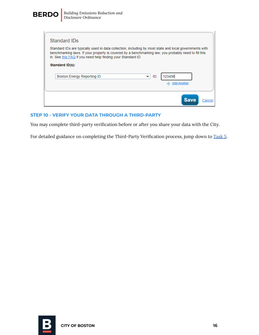

| Standard IDs                                                                                                                                                                                                                                                                  |                    |
|-------------------------------------------------------------------------------------------------------------------------------------------------------------------------------------------------------------------------------------------------------------------------------|--------------------|
| Standard IDs are typically used in data collection, including by most state and local governments with<br>benchmarking laws. If your property is covered by a benchmarking law, you probably need to fill this<br>in. See this FAQ if you need help finding your Standard ID. |                    |
| Standard ID(s):                                                                                                                                                                                                                                                               |                    |
| <b>Boston Energy Reporting ID</b><br>ID:<br>$\checkmark$                                                                                                                                                                                                                      | 123456             |
|                                                                                                                                                                                                                                                                               | <b>Add Another</b> |
|                                                                                                                                                                                                                                                                               |                    |

#### <span id="page-15-0"></span>**STEP 10 - VERIFY YOUR DATA THROUGH A THIRD-PARTY**

You may complete third-party verification before or after you share your data with the City.

For detailed guidance on completing the Third-Party Verification process, jump down to [Task](#page-21-0) 5.

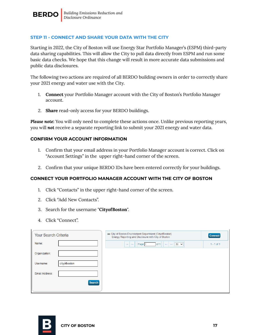

#### <span id="page-16-0"></span>**STEP 11 - CONNECT AND SHARE YOUR DATA WITH THE CITY**

Starting in 2022, the City of Boston will use Energy Star Portfolio Manager's (ESPM) third-party data sharing capabilities. This will allow the City to pull data directly from ESPM and run some basic data checks. We hope that this change will result in more accurate data submissions and public data disclosures.

The following two actions are required of all BERDO building owners in order to correctly share your 2021 energy and water use with the City.

- 1. **Connect** your Portfolio Manager account with the City of Boston's Portfolio Manager account.
- 2. **Share** read-only access for your BERDO buildings.

*Please note:* You will only need to complete these actions once. Unlike previous reporting years, you will *not* receive a separate reporting link to submit your 2021 energy and water data.

#### **CONFIRM YOUR ACCOUNT INFORMATION**

- 1. Confirm that your email address in your Portfolio Manager account is correct. Click on "Account Settings" in the upper right-hand corner of the screen.
- 2. Confirm that your unique BERDO IDs have been entered correctly for your buildings.

#### **CONNECT YOUR PORTFOLIO MANAGER ACCOUNT WITH THE CITY OF BOSTON**

- 1. Click "Contacts" in the upper right-hand corner of the screen.
- 2. Click "Add New Contacts".
- 3. Search for the username "**CityofBoston**".
- 4. Click "Connect".

| <b>Your Search Criteria</b> |               | City of Boston Environment Department (CityofBoston)<br>Energy Reporting and Disclosure with City of Boston | <b>Connect</b> |
|-----------------------------|---------------|-------------------------------------------------------------------------------------------------------------|----------------|
| Name:                       |               | of 1<br>Page <sub>1</sub><br>$\rightarrow$ $\rightarrow$ 50 $\sim$<br>$141 - 34$                            | $1 - 1$ of 1   |
| Organization:               |               |                                                                                                             |                |
| Username:                   | cityofboston  |                                                                                                             |                |
| Email Address:              |               |                                                                                                             |                |
|                             | <b>Search</b> |                                                                                                             |                |

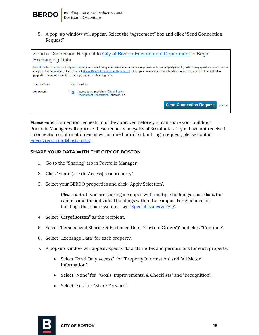

5. A pop-up window will appear. Select the "Agreement" box and click "Send Connection Request"



*Please note:* Connection requests must be approved before you can share your buildings. Portfolio Manager will approve these requests in cycles of 30 minutes. If you have not received a connection confirmation email within one hour of submitting a request, please contact [energyreporting@boston.gov.](mailto:energyreporting@boston.gov)

#### **SHARE YOUR DATA WITH THE CITY OF BOSTON**

- 1. Go to the "Sharing" tab in Portfolio Manager.
- 2. Click "Share (or Edit Access) to a property".
- 3. Select your BERDO properties and click "Apply Selection".

*Please note:* If you are sharing a campus with multiple buildings, share *both* the campus and the individual buildings within the campus. For guidance on buildings that share systems, see ["Special](#page-32-0) Issues & FAQ".

- 4. Select "**CityofBoston"** as the recipient.
- 5. Select "Personalized Sharing & Exchange Data ("Custom Orders")" and click "Continue".
- 6. Select "Exchange Data" for each property.
- 7. A pop-up window will appear. Specify data attributes and permissions for each property.
	- Select "Read Only Access" for "Property Information" and "All Meter Information."
	- Select "None" for "Goals, Improvements, & Checklists" and "Recognition".
	- Select "Yes" for "Share Forward".

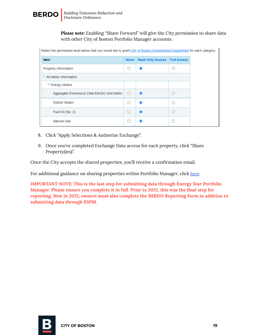

*Please note:* Enabling "Share Forward" will give the City permission to share data with other City of Boston Portfolio Manager accounts.

| Select the permission level below that you would like to grant City of Boston Environment Department for each category. |             |                         |                    |  |  |  |  |
|-------------------------------------------------------------------------------------------------------------------------|-------------|-------------------------|--------------------|--|--|--|--|
| Item                                                                                                                    | <b>None</b> | <b>Read Only Access</b> | <b>Full Access</b> |  |  |  |  |
| Property Information                                                                                                    | ◯           | ◉                       |                    |  |  |  |  |
| All Meter Information                                                                                                   |             |                         |                    |  |  |  |  |
| ▼ Energy Meters                                                                                                         |             |                         |                    |  |  |  |  |
| Aggregate Eversource Data Electric Grid Meter                                                                           | $\circ$     | $\odot$                 |                    |  |  |  |  |
| District Steam                                                                                                          |             | ∩                       |                    |  |  |  |  |
| Fuel Oil (No. 2)                                                                                                        | Ω           | $\odot$                 |                    |  |  |  |  |
| Natural Gas                                                                                                             |             | ∩                       |                    |  |  |  |  |

- 8. Click "Apply Selections & Authorize Exchange".
- 9. Once you've completed Exchange Data access for each property, click "Share Property(ies)".

Once the City accepts the shared properties, you'll receive a confirmation email.

For additional guidance on sharing properties within Portfolio Manager, click [here](https://www.energystar.gov/sites/default/files/tools/How%20to%20Share%20Properties%20with%20Other%20Portfolio%20Manager%20Users_May%202021_FINAL.pdf).

**IMPORTANT NOTE: This is the last step for submitting data through Energy Star Portfolio Manager. Please ensure you complete it in full. Prior to 2022, this was the final step for reporting. New in 2022, owners must also complete the BERDO Reporting Form in addition to submitting data through ESPM.**

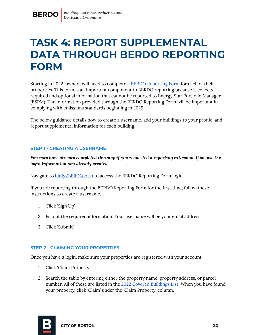### **TASK 4: REPORT SUPPLEMENTAL DATA THROUGH BERDO REPORTING FORM**

<span id="page-19-0"></span>Starting in 2022, owners will need to complete a BERDO [Reporting](https://bostonopendata.knack.com/berdo-reporting#home/) Form for each of their properties. This form is an important component to BERDO reporting because it collects required and optional information that cannot be reported to Energy Star Portfolio Manager (ESPM). The information provided through the BERDO Reporting Form will be important in complying with emissions standards beginning in 2025.

The below guidance details how to create a username, add your buildings to your profile, and report supplemental information for each building.

#### <span id="page-19-1"></span>**STEP 1 - CREATING A USERNAME**

*You may have already completed this step if you requested a reporting extension. If so, use the login information you already created.*

Navigate to [bit.ly/BERDOform](https://bostonopendata.knack.com/berdo-reporting#berdo-reporting-2022/) to access the BERDO Reporting Form login.

If you are reporting through the BERDO Reporting Form for the first time, follow these instructions to create a username.

- 1. Click 'Sign Up'.
- 2. Fill out the required information. Your username will be your email address.
- 3. Click 'Submit'.

#### <span id="page-19-2"></span>**STEP 2 - CLAIMING YOUR PROPERTIES**

Once you have a login, make sure your properties are registered with your account.

- 1. Click 'Claim Property'.
- 2. Search the table by entering either the property name, property address, or parcel number. All of these are listed in the 2022 Covered [Buildings](https://docs.google.com/spreadsheets/d/1t-XKuedzvlOMf2d-vmL3ztrklDquXv-NdD1RkA-mxZI/edit#gid=913546150) List. When you have found your property, click 'Claim' under the 'Claim Property' column.

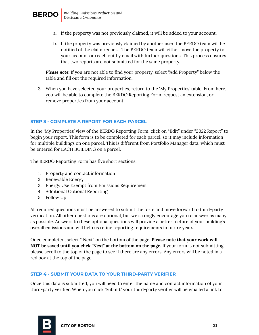

- a. If the property was not previously claimed, it will be added to your account.
- b. If the property was previously claimed by another user, the BERDO team will be notified of the claim request. The BERDO team will either move the property to your account or reach out by email with further questions. This process ensures that two reports are not submitted for the same property.

*Please note:* If you are not able to find your property, select "Add Property" below the table and fill out the required information.

3. When you have selected your properties, return to the 'My Properties' table. From here, you will be able to complete the BERDO Reporting Form, request an extension, or remove properties from your account.

#### <span id="page-20-0"></span>**STEP 3 - COMPLETE A REPORT FOR EACH PARCEL**

In the 'My Properties' view of the BERDO Reporting Form, click on "Edit" under "2022 Report" to begin your report. This form is to be completed for each parcel, so it may include information for multiple buildings on one parcel. This is different from Portfolio Manager data, which must be entered for EACH BUILDING on a parcel.

The BERDO Reporting Form has five short sections:

- 1. Property and contact information
- 2. Renewable Energy
- 3. Energy Use Exempt from Emissions Requirement
- 4. Additional Optional Reporting
- 5. Follow Up

All required questions must be answered to submit the form and move forward to third-party verification. All other questions are optional, but we strongly encourage you to answer as many as possible. Answers to these optional questions will provide a better picture of your building's overall emissions and will help us refine reporting requirements in future years.

Once completed, select " Next" on the bottom of the page. **Please note that your work will NOT be saved until you click "Next" at the bottom on the page.** If your form is not submitting, please scroll to the top of the page to see if there are any errors. Any errors will be noted in a red box at the top of the page.

#### <span id="page-20-1"></span>**STEP 4 - SUBMIT YOUR DATA TO YOUR THIRD-PARTY VERIFIER**

Once this data is submitted, you will need to enter the name and contact information of your third-party verifier. When you click 'Submit,' your third-party verifier will be emailed a link to

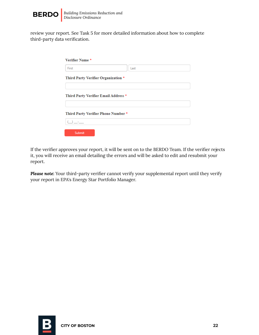

review your report. See Task 5 for more detailed information about how to complete third-party data verification.

| Verifier Name *                      |      |  |
|--------------------------------------|------|--|
| First                                | Last |  |
| Third Party Verifier Organization *  |      |  |
| Third Party Verifier Email Address * |      |  |
| Third Party Verifier Phone Number *  |      |  |
|                                      |      |  |
| Submit                               |      |  |

If the verifier approves your report, it will be sent on to the BERDO Team. If the verifier rejects it, you will receive an email detailing the errors and will be asked to edit and resubmit your report.

<span id="page-21-0"></span>*Please note:* Your third-party verifier cannot verify your supplemental report until they verify your report in EPA's Energy Star Portfolio Manager.

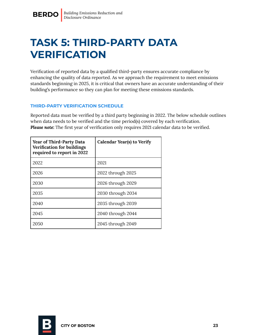### <span id="page-22-0"></span>**TASK 5: THIRD-PARTY DATA VERIFICATION**

Verification of reported data by a qualified third-party ensures accurate compliance by enhancing the quality of data reported. As we approach the requirement to meet emissions standards beginning in 2025, it is critical that owners have an accurate understanding of their building's performance so they can plan for meeting these emissions standards.

#### <span id="page-22-1"></span>**THIRD-PARTY VERIFICATION SCHEDULE**

Reported data must be verified by a third party beginning in 2022. The below schedule outlines when data needs to be verified and the time period(s) covered by each verification. *Please note:* The first year of verification only requires 2021 calendar data to be verified.

| <b>Year of Third-Party Data</b><br><b>Verification for buildings</b><br>required to report in 2022 | Calendar Year(s) to Verify |
|----------------------------------------------------------------------------------------------------|----------------------------|
| 2022                                                                                               | 2021                       |
| 2026                                                                                               | 2022 through 2025          |
| 2030                                                                                               | 2026 through 2029          |
| 2035                                                                                               | 2030 through 2034          |
| 2040                                                                                               | 2035 through 2039          |
| 2045                                                                                               | 2040 through 2044          |
| 2050                                                                                               | 2045 through 2049          |

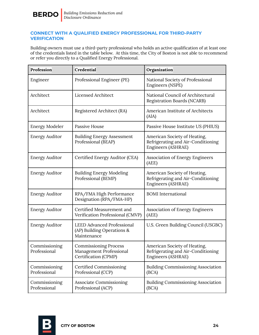

#### <span id="page-23-0"></span>**CONNECT WITH A QUALIFIED ENERGY PROFESSIONAL FOR THIRD-PARTY VERIFICATION**

Building owners must use a third-party professional who holds an active qualification of at least one of the credentials listed in the table below. At this time, the City of Boston is not able to recommend or refer you directly to a Qualified Energy Professional.

| Profession                    | Credential                                                                      | Organization                                                                             |  |
|-------------------------------|---------------------------------------------------------------------------------|------------------------------------------------------------------------------------------|--|
| Engineer                      | Professional Engineer (PE)                                                      | National Society of Professional<br>Engineers (NSPE)                                     |  |
| Architect                     | Licensed Architect                                                              | National Council of Architectural<br><b>Registration Boards (NCARB)</b>                  |  |
| Architect                     | Registered Architect (RA)                                                       | American Institute of Architects<br>(AIA)                                                |  |
| <b>Energy Modeler</b>         | <b>Passive House</b>                                                            | Passive House Institute US (PHIUS)                                                       |  |
| <b>Energy Auditor</b>         | <b>Building Energy Assessment</b><br>Professional (BEAP)                        | American Society of Heating,<br>Refrigerating and Air-Conditioning<br>Engineers (ASHRAE) |  |
| <b>Energy Auditor</b>         | Certified Energy Auditor (CEA)                                                  | <b>Association of Energy Engineers</b><br>(AEE)                                          |  |
| <b>Energy Auditor</b>         | <b>Building Energy Modeling</b><br>Professional (BEMP)                          | American Society of Heating,<br>Refrigerating and Air-Conditioning<br>Engineers (ASHRAE) |  |
| <b>Energy Auditor</b>         | RPA/FMA High Performance<br>Designation (RPA/FMA-HP)                            | <b>BOMI</b> International                                                                |  |
| <b>Energy Auditor</b>         | Certified Measurement and<br>Verification Professional (CMVP)                   | <b>Association of Energy Engineers</b><br>(AEE)                                          |  |
| <b>Energy Auditor</b>         | <b>LEED Advanced Professional</b><br>(AP) Building Operations &<br>Maintenance  | U.S. Green Building Council (USGBC)                                                      |  |
| Commissioning<br>Professional | <b>Commissioning Process</b><br>Management Professional<br>Certification (CPMP) | American Society of Heating,<br>Refrigerating and Air-Conditioning<br>Engineers (ASHRAE) |  |
| Commissioning<br>Professional | Certified Commissioning<br>Professional (CCP)                                   | <b>Building Commissioning Association</b><br>(BCA)                                       |  |
| Commissioning<br>Professional | <b>Associate Commissioning</b><br>Professional (ACP)                            | <b>Building Commissioning Association</b><br>(BCA)                                       |  |

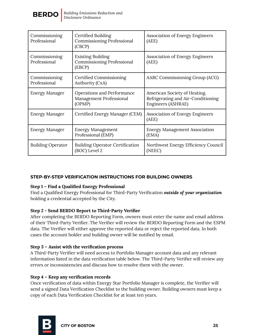

| Commissioning<br>Professional | Certified Building<br><b>Commissioning Professional</b><br>(CBCP)       | <b>Association of Energy Engineers</b><br>(AEE)                                          |  |
|-------------------------------|-------------------------------------------------------------------------|------------------------------------------------------------------------------------------|--|
| Commissioning<br>Professional | <b>Existing Building</b><br><b>Commissioning Professional</b><br>(EBCP) | <b>Association of Energy Engineers</b><br>(AEE)                                          |  |
| Commissioning<br>Professional | Certified Commissioning<br>Authority (CxA)                              | AABC Commissioning Group (ACG)                                                           |  |
| <b>Energy Manager</b>         | Operations and Performance<br>Management Professional<br>(OPMP)         | American Society of Heating,<br>Refrigerating and Air-Conditioning<br>Engineers (ASHRAE) |  |
| <b>Energy Manager</b>         | Certified Energy Manager (CEM)                                          | <b>Association of Energy Engineers</b><br>(AEE)                                          |  |
| <b>Energy Manager</b>         | <b>Energy Management</b><br>Professional (EMP)                          | <b>Energy Management Association</b><br>(EMA)                                            |  |
| <b>Building Operator</b>      | <b>Building Operator Certification</b><br>(BOC) Level 2                 | Northwest Energy Efficiency Council<br>(NEEC)                                            |  |

#### <span id="page-24-0"></span>**STEP-BY-STEP VERIFICATION INSTRUCTIONS FOR BUILDING OWNERS**

#### **Step 1 – Find a Qualified Energy Professional**

Find a Qualified Energy Professional for Third-Party Verification *outside of your organization* holding a credential accepted by the City.

#### **Step 2 - Send BERDO Report to Third-Party Verifier**

After completing the BERDO Reporting Form, owners must enter the name and email address of their Third-Party Verifier. The Verifier will review the BERDO Reporting Form and the ESPM data. The Verifier will either approve the reported data or reject the reported data. In both cases the account holder and building owner will be notified by email.

#### **Step 3 – Assist with the verification process**

A Third-Party Verifier will need access to Portfolio Manager account data and any relevant information listed in the data verification table below. The Third-Party Verifier will review any errors or inconsistencies and discuss how to resolve them with the owner.

#### **Step 4 – Keep any verification records**

Once verification of data within Energy Star Portfolio Manager is complete, the Verifier will send a signed Data Verification Checklist to the building owner. Building owners must keep a copy of each Data Verification Checklist for at least ten years.

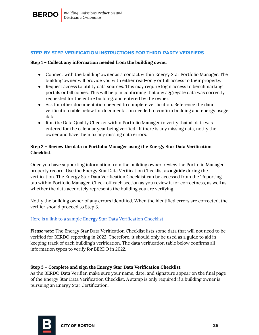

#### <span id="page-25-0"></span>**STEP-BY-STEP VERIFICATION INSTRUCTIONS FOR THIRD-PARTY VERIFIERS**

#### **Step 1 – Collect any information needed from the building owner**

- Connect with the building owner as a contact within Energy Star Portfolio Manager. The building owner will provide you with either read-only or full access to their property.
- Request access to utility data sources. This may require login access to benchmarking portals or bill copies. This will help in confirming that any aggregate data was correctly requested for the entire building. and entered by the owner.
- Ask for other documentation needed to complete verification. Reference the data verification table below for documentation needed to confirm building and energy usage data.
- Run the Data Quality Checker within Portfolio Manager to verify that all data was entered for the calendar year being verified. If there is any missing data, notify the owner and have them fix any missing data errors.

#### **Step 2 – Review the data in Portfolio Manager using the Energy Star Data Verification Checklist**

Once you have supporting information from the building owner, review the Portfolio Manager property record. Use the Energy Star Data Verification Checklist **as a guide** during the verification. The Energy Star Data Verification Checklist can be accessed from the 'Reporting' tab within Portfolio Manager. Check off each section as you review it for correctness, as well as whether the data accurately represents the building you are verifying.

Notify the building owner of any errors identified. When the identified errors are corrected, the verifier should proceed to Step 3.

#### Here is a link to a sample Energy Star Data [Verification](https://www.energystar.gov/buildings/tools-and-resources/sample_energy_star_data_verification_checklist) Checklist.

*Please note:* The Energy Star Data Verification Checklist lists some data that will not need to be verified for BERDO reporting in 2022. Therefore, it should only be used as a guide to aid in keeping track of each building's verification. The data verification table below confirms all information types to verify for BERDO in 2022.

#### **Step 3 – Complete and sign the Energy Star Data Verification Checklist**

As the BERDO Data Verifier, make sure your name, date, and signature appear on the final page of the Energy Star Data Verification Checklist. A stamp is only required if a building owner is pursuing an Energy Star Certification.

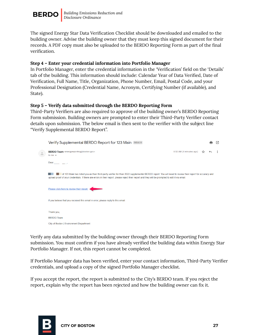

The signed Energy Star Data Verification Checklist should be downloaded and emailed to the building owner. Advise the building owner that they must keep this signed document for their records. A PDF copy must also be uploaded to the BERDO Reporting Form as part of the final verification.

#### **Step 4 – Enter your credential information into Portfolio Manager**

In Portfolio Manager, enter the credential information in the 'Verification' field on the 'Details' tab of the building. This information should include: Calendar Year of Data Verified, Date of Verification, Full Name, Title, Organization, Phone Number, Email, Postal Code, and your Professional Designation (Credential Name, Acronym, Certifying Number (if available), and State).

#### **Step 5 – Verify data submitted through the BERDO Reporting Form**

Third-Party Verifiers are also required to approve of the building owner's BERDO Reporting Form submission. Building owners are prompted to enter their Third-Party Verifier contact details upon submission. The below email is then sent to the verifier with the subject line "Verify Supplemental BERDO Report".

| Verify Supplemental BERDO Report for 123 Main Inbox x                                                                                                                                                                                                                                                         |                         |  |  |
|---------------------------------------------------------------------------------------------------------------------------------------------------------------------------------------------------------------------------------------------------------------------------------------------------------------|-------------------------|--|--|
| BERDO Team <energyreporting@boston.gov><br/>to me <math>\sim</math></energyreporting@boston.gov>                                                                                                                                                                                                              | 8:50 AM (4 minutes ago) |  |  |
| Dear. $\qquad \qquad \qquad$                                                                                                                                                                                                                                                                                  |                         |  |  |
| of 123 Main has listed you as their third-party verifier for their 2022 supplemental BERDO report. You will need to review their report for accuracy and<br>upload proof of your credentials. If there are errors in their report, please reject their report and they will be prompted to edit it via email. |                         |  |  |
| Please click here to review their report.                                                                                                                                                                                                                                                                     |                         |  |  |
| If you believe that you received this email in error, please reply to this email.                                                                                                                                                                                                                             |                         |  |  |
| Thank you,                                                                                                                                                                                                                                                                                                    |                         |  |  |
| <b>BERDO</b> Team                                                                                                                                                                                                                                                                                             |                         |  |  |
| City of Boston   Environment Department                                                                                                                                                                                                                                                                       |                         |  |  |

Verify any data submitted by the building owner through their BERDO Reporting Form submission. You must confirm if you have already verified the building data within Energy Star Portfolio Manager. If not, this report cannot be completed.

If Portfolio Manager data has been verified, enter your contact information, Third-Party Verifier credentials, and upload a copy of the signed Portfolio Manager checklist.

If you accept the report, the report is submitted to the City's BERDO team. If you reject the report, explain why the report has been rejected and how the building owner can fix it.

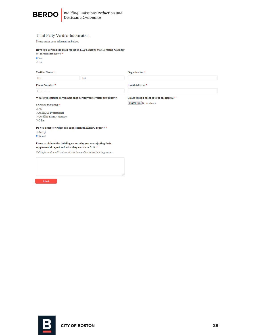

#### Third Party Verifier Information

Please enter your information below.

#### Have you verified the main report in EPA's Energy Star Portfolio Manager yet for this property? \*

 $\bullet$  Yes

 $\circ$  No

#### Verifier Name \*

| . . |  |
|-----|--|

Organization \*

Phone Number  $^\star$  $\cup$   $\bot$ 

Email Address \*

Choose File No file chosen

Please upload proof of your crediential \*

What credential(s) do you hold that permit you to verify this report?

#### Select all that apply \*  $\Box$  PE

 $\Box$  ASHRAE Professional  $\Box$  Certified Energy Manager  $\Box$  Other

Do you accept or reject this supplemental BERDO report? \*

- $\circ$  Accept
- <sup>O</sup> Reject

#### Please explain to the building owner why you are rejecting their supplemental report and what they can do to fix it. \*

This information will automatically be emailed to the building owner.

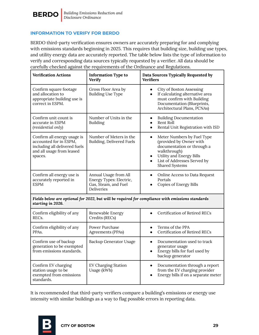

#### <span id="page-28-0"></span>**INFORMATION TO VERIFY FOR BERDO**

BERDO third-party verification ensures owners are accurately preparing for and complying with emissions standards beginning in 2025. This requires that building size, building use types, and utility energy data are accurately reported. The table below lists the type of information to verify and corresponding data sources typically requested by a verifier. All data should be carefully checked against the requirements of the Ordinance and Regulations.

| <b>Verification Actions</b>                                                                                                    | <b>Information Type to</b><br><b>Verify</b>                                                   | Data Sources Typically Requested by<br><b>Verifiers</b>                                                                                                                                                                               |  |
|--------------------------------------------------------------------------------------------------------------------------------|-----------------------------------------------------------------------------------------------|---------------------------------------------------------------------------------------------------------------------------------------------------------------------------------------------------------------------------------------|--|
| Confirm square footage<br>and allocation to<br>appropriate building use is<br>correct in ESPM.                                 | Gross Floor Area by<br><b>Building Use Type</b>                                               | City of Boston Assessing<br>$\bullet$<br>If calculating alternative area<br>$\bullet$<br>must confirm with Building<br>Documentation (Blueprints,<br>Architectural Plans, PCNAs)                                                      |  |
| Confirm unit count is<br>accurate in ESPM<br>(residential only)                                                                | Number of Units in the<br>Building                                                            | <b>Building Documentation</b><br>$\bullet$<br>Rent Roll<br>$\bullet$<br>Rental Unit Registration with ISD<br>$\bullet$                                                                                                                |  |
| Confirm all energy usage is<br>accounted for in ESPM,<br>including all delivered fuels<br>and all usage from leased<br>spaces. | Number of Meters in the<br>Building, Delivered Fuels                                          | Meter Numbers by Fuel Type<br>$\bullet$<br>(provided by Owner with<br>documentation or through a<br>walkthrough)<br><b>Utility and Energy Bills</b><br>$\bullet$<br>List of Addresses Served by<br>$\bullet$<br><b>Shared Systems</b> |  |
| Confirm all energy use is<br>accurately reported in<br><b>ESPM</b>                                                             | Annual Usage from All<br>Energy Types: Electric,<br>Gas, Steam, and Fuel<br><b>Deliveries</b> | Online Access to Data Request<br>$\bullet$<br>Portals<br>Copies of Energy Bills                                                                                                                                                       |  |
| starting in 2026.                                                                                                              |                                                                                               | Fields below are optional for 2022, but will be required for compliance with emissions standards                                                                                                                                      |  |
| Confirm eligibility of any<br>REC <sub>s</sub> .                                                                               | Renewable Energy<br>Credits (RECs)                                                            | Certification of Retired RECs                                                                                                                                                                                                         |  |
| Confirm eligibility of any<br>PPAs.                                                                                            | Power Purchase<br>Agreements (PPAs)                                                           | Terms of the PPA<br><b>Certification of Retired RECs</b><br>$\bullet$                                                                                                                                                                 |  |
| Confirm use of backup<br>generation to be exempted<br>from emissions standards.                                                | Backup Generator Usage                                                                        | Documentation used to track<br>$\bullet$<br>generator usage<br>Energy bills for fuel used by<br>$\bullet$<br>backup generator                                                                                                         |  |
| Confirm EV charging<br>station usage to be<br>exempted from emissions<br>standards.                                            | <b>EV Charging Station</b><br>Usage (kWh)                                                     | Documentation through a report<br>$\bullet$<br>from the EV charging provider<br>Energy bills if on a separate meter<br>$\bullet$                                                                                                      |  |

It is recommended that third-party verifiers compare a building's emissions or energy use intensity with similar buildings as a way to flag possible errors in reporting data.

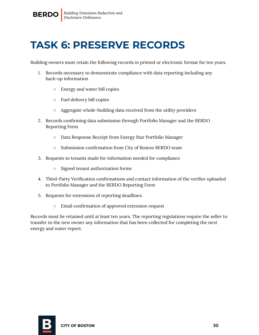### <span id="page-29-0"></span>**TASK 6: PRESERVE RECORDS**

Building owners must retain the following records in printed or electronic format for ten years.

- 1. Records necessary to demonstrate compliance with data reporting including any back-up information
	- Energy and water bill copies
	- Fuel delivery bill copies
	- Aggregate whole-building data received from the utility providers
- 2. Records confirming data submission through Portfolio Manager and the BERDO Reporting Form
	- Data Response Receipt from Energy Star Portfolio Manager
	- Submission confirmation from City of Boston BERDO team
- 3. Requests to tenants made for information needed for compliance
	- Signed tenant authorization forms
- 4. Third-Party Verification confirmations and contact information of the verifier uploaded to Portfolio Manager and the BERDO Reporting Form
- 5. Requests for extensions of reporting deadlines.
	- Email confirmation of approved extension request

Records must be retained until at least ten years. The reporting regulations require the seller to transfer to the new owner any information that has been collected for completing the next energy and water report.

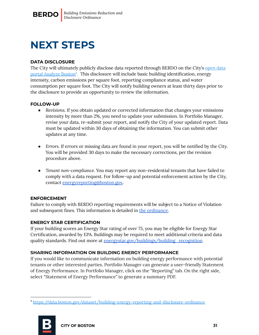### <span id="page-30-0"></span>**NEXT STEPS**

#### **DATA DISCLOSURE**

The City will ultimately publicly disclose data reported through BERDO on the City's [open](https://data.boston.gov/dataset/building-energy-reporting-and-disclosure-ordinance) data portal [Analyze](https://data.boston.gov/dataset/building-energy-reporting-and-disclosure-ordinance) Boston<sup>4</sup>. This disclosure will include basic building identification, energy intensity, carbon emissions per square foot, reporting compliance status, and water consumption per square foot. The City will notify building owners at least thirty days prior to the disclosure to provide an opportunity to review the information.

#### **FOLLOW-UP**

- *Revisions.* If you obtain updated or corrected information that changes your emissions intensity by more than 2%, you need to update your submission. In Portfolio Manager, revise your data, re-submit your report, and notify the City of your updated report. Data must be updated within 30 days of obtaining the information. You can submit other updates at any time.
- *Errors.* If errors or missing data are found in your report, you will be notified by the City. You will be provided 30 days to make the necessary corrections, per the revision procedure above.
- *Tenant non-compliance.* You may report any non-residential tenants that have failed to comply with a data request. For follow-up and potential enforcement action by the City, contact [energyreporting@boston.gov](mailto:energyreporting@boston.gov)*.*

#### **ENFORCEMENT**

Failure to comply with BERDO reporting requirements will be subject to a Notice of Violation and subsequent fines. This information is detailed in the [ordinance](https://www.boston.gov/sites/default/files/file/2021/12/Final%20Amended%20Docket%200775%20BERDO%202_0.pdf).

#### **ENERGY STAR CERTIFICATION**

If your building scores an Energy Star rating of over 75, you may be eligible for Energy Star Certification, awarded by EPA. Buildings may be required to meet additional criteria and data quality standards. Find out more at [energystar.gov/buildings/building\\_recognition](https://www.energystar.gov/buildings/building_recognition)

#### **SHARING INFORMATION ON BUILDING ENERGY PERFORMANCE**

If you would like to communicate information on building energy performance with potential tenants or other interested parties, Portfolio Manager can generate a user-friendly Statement of Energy Performance. In Portfolio Manager, click on the "Reporting" tab. On the right side, select "Statement of Energy Performance" to generate a summary PDF.

<sup>4</sup> <https://data.boston.gov/dataset/building-energy-reporting-and-disclosure-ordinance>

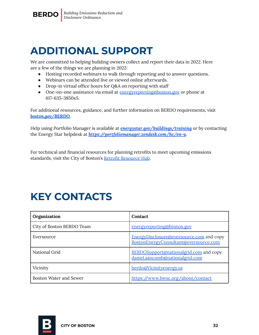

### <span id="page-31-0"></span>**ADDITIONAL SUPPORT**

We are committed to helping building owners collect and report their data in 2022. Here are a few of the things we are planning in 2022:

- Hosting recorded webinars to walk through reporting and to answer questions.
- Webinars can be attended live or viewed online afterwards.
- Drop-in virtual office hours for Q&A on reporting with staff
- One-on-one assistance via email at [energyreporting@boston.gov](mailto:energyreporting@boston.gov) or phone at 617-635-3850x5.

For additional resources, guidance, and further information on BERDO requirements, visit *[boston.gov/BERDO.](https://www.boston.gov/environment-and-energy/building-energy-reporting-and-disclosure-ordinance)*

Help using Portfolio Manager is available at *[energystar.gov/buildings/training](http://energystar.gov/buildings/training)* or by contacting the Energy Star helpdesk at *https:/ [portfoliomanager.zendesk.com/hc/en-u](https://portfoliomanager.zendesk.com/hc/en-us)*.

For technical and financial resources for planning retrofits to meet upcoming emissions standards, visit the City of Boston's Retrofit [Resource](https://www.boston.gov/departments/environment/retrofit-resource-hub) Hub.

## <span id="page-31-1"></span>**KEY CONTACTS**

| Organization                  | <b>Contact</b>                                                                    |  |
|-------------------------------|-----------------------------------------------------------------------------------|--|
| City of Boston BERDO Team     | energyreporting@boston.gov                                                        |  |
| Eversource                    | EnergyDisclosure@eversource.com and copy<br>BostonEnergyConsultant@eversource.com |  |
| National Grid                 | BERDOSupport@nationalgrid.com and copy<br>daniel.sancomb@nationalgrid.com         |  |
| Vicinity                      | berdo@Vicinityenergy.us                                                           |  |
| <b>Boston Water and Sewer</b> | https://www.bwsc.org/about/contact                                                |  |

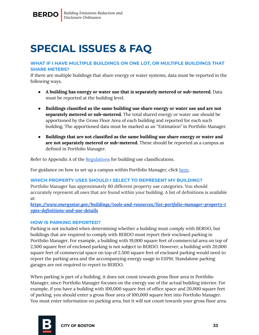### <span id="page-32-0"></span>**SPECIAL ISSUES & FAQ**

#### **WHAT IF I HAVE MULTIPLE BUILDINGS ON ONE LOT, OR MULTIPLE BUILDINGS THAT SHARE METERS?**

If there are multiple buildings that share energy or water systems, data must be reported in the following ways.

- **A building has energy or water use that is separately metered or sub-metered.** Data must be reported at the building level.
- **Buildings classified as the same building use share energy or water use and are not separately metered or sub-metered.** The total shared energy or water use should be apportioned by the Gross Floor Area of each building and reported for each such building. The apportioned data must be marked as an "Estimation" in Portfolio Manager.
- **Buildings that are not classified as the same building use share energy or water and are not separately metered or sub-metered.** These should be reported as a campus as defined in Portfolio Manager.

Refer to Appendix A of the [Regulations](https://www.boston.gov/sites/default/files/file/2022/03/APCC%20BERDO%20Regulations%203_16_22.pdf) for building use classifications.

For guidance on how to set up a campus within Portfolio Manager, click [here.](https://www.energystar.gov/buildings/tools-and-resources/how-benchmark-campus)

#### **WHICH PROPERTY USES SHOULD I SELECT TO REPRESENT MY BUILDING?**

Portfolio Manager has approximately 80 different property use categories. You should accurately represent all uses that are found within your building. A list of definitions is available at:

*https:/ [www.energystar.gov/buildings/tools-and-resources/list-portfolio-manager-property-t](http://www.energystar.gov/buildings/sites/default/uploads/tools/PropertyUseDetailsandDefinition.pdf) [ypes-definitions-and-use-details](http://www.energystar.gov/buildings/sites/default/uploads/tools/PropertyUseDetailsandDefinition.pdf)*

#### **HOW IS PARKING REPORTED?**

Parking is not included when determining whether a building must comply with BERDO, but buildings that are required to comply with BERDO must report their enclosed parking in Portfolio Manager. For example, a building with 19,000 square feet of commercial area on top of 2,500 square feet of enclosed parking is not subject to BERDO. However, a building with 20,000 square feet of commercial space on top of 2,500 square feet of enclosed parking would need to report the parking area and the accompanying energy usage in ESPM. Standalone parking garages are not required to report to BERDO.

When parking is part of a building, it does not count towards gross floor area in Portfolio Manager, since Portfolio Manager focuses on the energy use of the actual building interior. For example, if you have a building with 100,000 square feet of office space and 20,000 square feet of parking, you should enter a gross floor area of 100,000 square feet into Portfolio Manager. You must enter information on parking area, but it will not count towards your gross floor area.

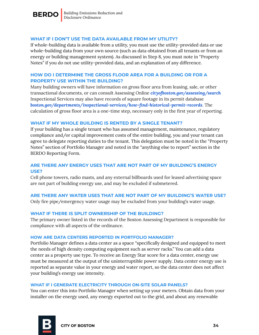

#### **WHAT IF I DON'T USE THE DATA AVAILABLE FROM MY UTILITY?**

If whole-building data is available from a utility, you must use the utility-provided data or use whole-building data from your own source (such as data obtained from all tenants or from an energy or building management system). As discussed in Step 8, you must note in "Property Notes" if you do not use utility-provided data, and an explanation of any difference.

#### **HOW DO I DETERMINE THE GROSS FLOOR AREA FOR A BUILDING OR FOR A PROPERTY USE WITHIN THE BUILDING?**

Many building owners will have information on gross floor area from leasing, sale, or other transactional documents, or can consult Assessing Online *[cityofboston.gov/assessing/search](http://www.cityofboston.gov/assessing/search/)* Inspectional Services may also have records of square footage in its permit database *[boston.gov/departments/inspectional-services/how-find-historical-permit-records](https://www.boston.gov/departments/inspectional-services/how-find-historical-permit-records)*. The calculation of gross floor area is a one-time step, necessary only in the first year of reporting.

#### **WHAT IF MY WHOLE BUILDING IS RENTED BY A SINGLE TENANT?**

If your building has a single tenant who has assumed management, maintenance, regulatory compliance and/or capital improvement costs of the entire building, you and your tenant can agree to delegate reporting duties to the tenant. This delegation must be noted in the "Property Notes" section of Portfolio Manager and noted in the "anything else to report" section in the BERDO Reporting Form.

#### **ARE THERE ANY ENERGY USES THAT ARE NOT PART OF MY BUILDING'S ENERGY USE?**

Cell phone towers, radio masts, and any external billboards used for leased advertising space are not part of building energy use, and may be excluded if submetered.

#### **ARE THERE ANY WATER USES THAT ARE NOT PART OF MY BUILDING'S WATER USE?**

Only fire pipe/emergency water usage may be excluded from your building's water usage.

#### **WHAT IF THERE IS SPLIT OWNERSHIP OF THE BUILDING?**

The primary owner listed in the records of the Boston Assessing Department is responsible for compliance with all aspects of the ordinance.

#### **HOW ARE DATA CENTERS REPORTED IN PORTFOLIO MANAGER?**

Portfolio Manager defines a data center as a space "specifically designed and equipped to meet the needs of high density computing equipment such as server racks." You can add a data center as a property use type. To receive an Energy Star score for a data center, energy use must be measured at the output of the uninterruptible power supply. Data center energy use is reported as separate value in your energy and water report, so the data center does not affect your building's energy use intensity.

#### **WHAT IF I GENERATE ELECTRICITY THROUGH ON-SITE SOLAR PANELS?**

You can enter this into Portfolio Manager when setting up your meters. Obtain data from your installer on the energy used, any energy exported out to the grid, and about any renewable

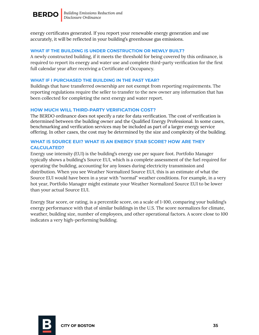

energy certificates generated. If you report your renewable energy generation and use accurately, it will be reflected in your building's greenhouse gas emissions.

#### **WHAT IF THE BUILDING IS UNDER CONSTRUCTION OR NEWLY BUILT?**

A newly constructed building, if it meets the threshold for being covered by this ordinance, is required to report its energy and water use and complete third-party verification for the first full calendar year after receiving a Certificate of Occupancy.

#### **WHAT IF I PURCHASED THE BUILDING IN THE PAST YEAR?**

Buildings that have transferred ownership are not exempt from reporting requirements. The reporting regulations require the seller to transfer to the new owner any information that has been collected for completing the next energy and water report.

#### **HOW MUCH WILL THIRD-PARTY VERIFICATION COST?**

The BERDO ordinance does not specify a rate for data verification. The cost of verification is determined between the building owner and the Qualified Energy Professional. In some cases, benchmarking and verification services may be included as part of a larger energy service offering. In other cases, the cost may be determined by the size and complexity of the building.

#### **WHAT IS SOURCE EUI? WHAT IS AN ENERGY STAR SCORE? HOW ARE THEY CALCULATED?**

Energy use intensity (EUI) is the building's energy use per square foot. Portfolio Manager typically shows a building's Source EUI, which is a complete assessment of the fuel required for operating the building, accounting for any losses during electricity transmission and distribution. When you see Weather Normalized Source EUI, this is an estimate of what the Source EUI would have been in a year with "normal" weather conditions. For example, in a very hot year, Portfolio Manager might estimate your Weather Normalized Source EUI to be lower than your actual Source EUI.

Energy Star score, or rating, is a percentile score, on a scale of 1-100, comparing your building's energy performance with that of similar buildings in the U.S. The score normalizes for climate, weather, building size, number of employees, and other operational factors. A score close to 100 indicates a very high-performing building.

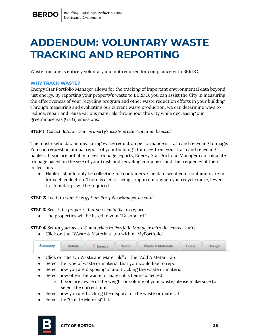### <span id="page-35-0"></span>**ADDENDUM: VOLUNTARY WASTE TRACKING AND REPORTING**

Waste tracking is entirely voluntary and not required for compliance with BERDO.

#### **WHY TRACK WASTE?**

Energy Star Portfolio Manager allows for the tracking of important environmental data beyond just energy. By reporting your property's waste to BERDO, you can assist the City in measuring the effectiveness of your recycling program and other waste reduction efforts in your building. Through measuring and evaluating our current waste production, we can determine ways to reduce, repair and reuse various materials throughout the City while decreasing our greenhouse gas (GHG) emissions.

**STEP 1:** *Collect data on your property's waste production and disposal*

The most useful data in measuring waste reduction performance is trash and recycling tonnage. You can request an annual report of your building's tonnage from your trash and recycling haulers. If you are not able to get tonnage reports, Energy Star Portfolio Manager can calculate tonnage based on the size of your trash and recycling containers and the frequency of their collections.

• Haulers should only be collecting full containers. Check to see if your containers are full for each collection. There is a cost savings opportunity when you recycle more, fewer trash pick-ups will be required.

**STEP 2:** *Log into your Energy Star Portfolio Manager account*

**STEP 3:** *Select the property that you would like to report*

• The properties will be listed in your "Dashboard"

**STEP 4:** *Set up your waste & materials in Portfolio Manager with the correct units*

● Click on the "Waste & Materials" tab within "MyPortfolio"

| <b>Summary</b> | <b>Details</b> | $I$ Energy | <b>Water</b> | Waste & Materials | <b>Goals</b> | Design |  |
|----------------|----------------|------------|--------------|-------------------|--------------|--------|--|
|                |                |            |              |                   |              |        |  |

- Click on "Set Up Waste and Materials" or the "Add A Meter" tab
- Select the type of waste or material that you would like to report
- Select how you are disposing of and tracking the waste or material
- Select how often the waste or material is being collected
	- If you are aware of the weight or volume of your waste, please make sure to select the correct unit
- Select how you are tracking the disposal of the waste or material
- Select the "Create Meter(s)" tab